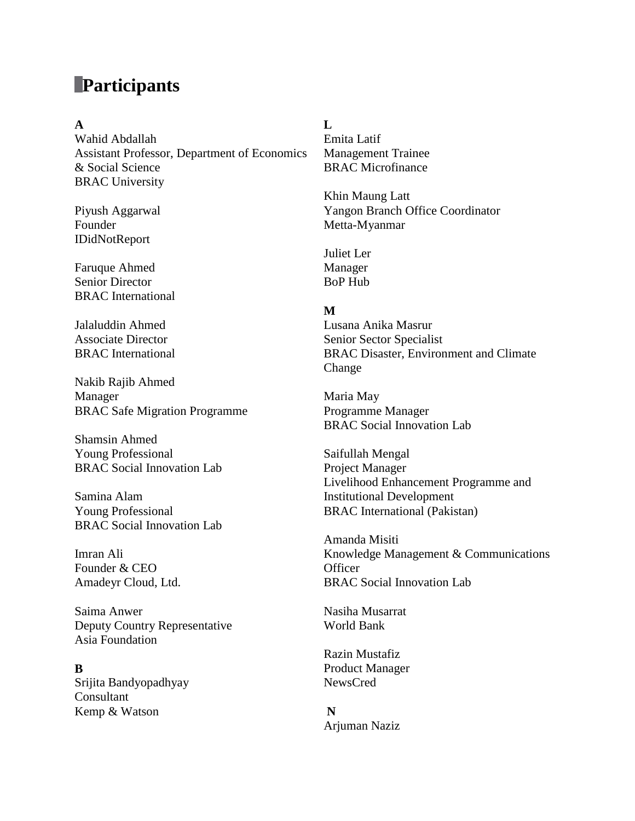# **Participants**

#### **A**

Wahid Abdallah Assistant Professor, Department of Economics & Social Science BRAC University

Piyush Aggarwal Founder IDidNotReport

Faruque Ahmed Senior Director BRAC International

Jalaluddin Ahmed Associate Director BRAC International

Nakib Rajib Ahmed Manager BRAC Safe Migration Programme

Shamsin Ahmed Young Professional BRAC Social Innovation Lab

Samina Alam Young Professional BRAC Social Innovation Lab

Imran Ali Founder & CEO Amadeyr Cloud, Ltd.

Saima Anwer Deputy Country Representative Asia Foundation

#### **B**

Srijita Bandyopadhyay Consultant Kemp & Watson

#### **L**

Emita Latif Management Trainee BRAC Microfinance

Khin Maung Latt Yangon Branch Office Coordinator Metta-Myanmar

Juliet Ler Manager BoP Hub

#### **M**

Lusana Anika Masrur Senior Sector Specialist BRAC Disaster, Environment and Climate Change

Maria May Programme Manager BRAC Social Innovation Lab

Saifullah Mengal Project Manager Livelihood Enhancement Programme and Institutional Development BRAC International (Pakistan)

Amanda Misiti Knowledge Management & Communications **Officer** BRAC Social Innovation Lab

Nasiha Musarrat World Bank

Razin Mustafiz Product Manager NewsCred

# **N** Arjuman Naziz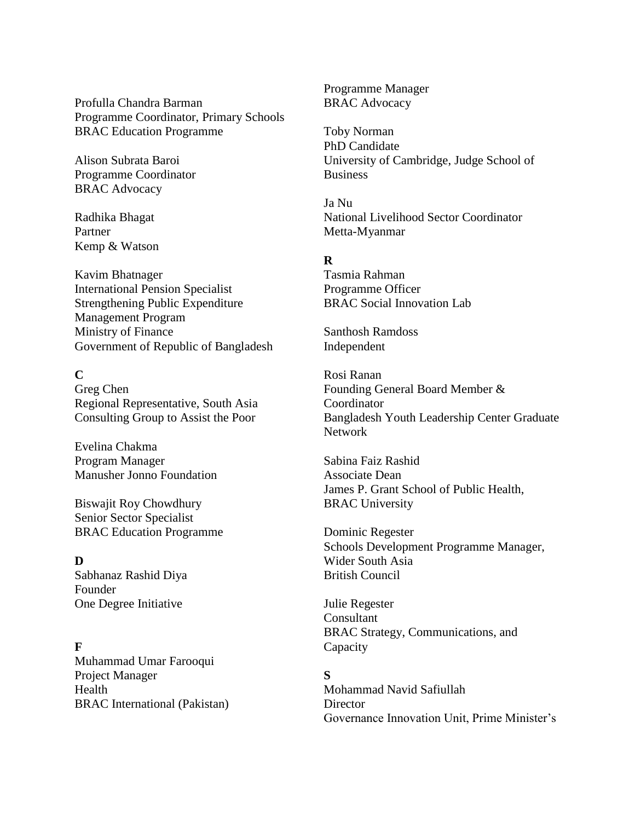Profulla Chandra Barman Programme Coordinator, Primary Schools BRAC Education Programme

Alison Subrata Baroi Programme Coordinator BRAC Advocacy

Radhika Bhagat Partner Kemp & Watson

Kavim Bhatnager International Pension Specialist Strengthening Public Expenditure Management Program Ministry of Finance Government of Republic of Bangladesh

### **C**

Greg Chen Regional Representative, South Asia Consulting Group to Assist the Poor

Evelina Chakma Program Manager Manusher Jonno Foundation

Biswajit Roy Chowdhury Senior Sector Specialist BRAC Education Programme

**D** Sabhanaz Rashid Diya Founder One Degree Initiative

### **F**

Muhammad Umar Farooqui Project Manager Health BRAC International (Pakistan) Programme Manager BRAC Advocacy

Toby Norman PhD Candidate University of Cambridge, Judge School of **Business** 

Ja Nu National Livelihood Sector Coordinator Metta-Myanmar

### **R**

Tasmia Rahman Programme Officer BRAC Social Innovation Lab

Santhosh Ramdoss Independent

Rosi Ranan Founding General Board Member & Coordinator Bangladesh Youth Leadership Center Graduate Network

Sabina Faiz Rashid Associate Dean James P. Grant School of Public Health, BRAC University

Dominic Regester Schools Development Programme Manager, Wider South Asia British Council

Julie Regester Consultant BRAC Strategy, Communications, and Capacity

### **S**

Mohammad Navid Safiullah **Director** Governance Innovation Unit, Prime Minister's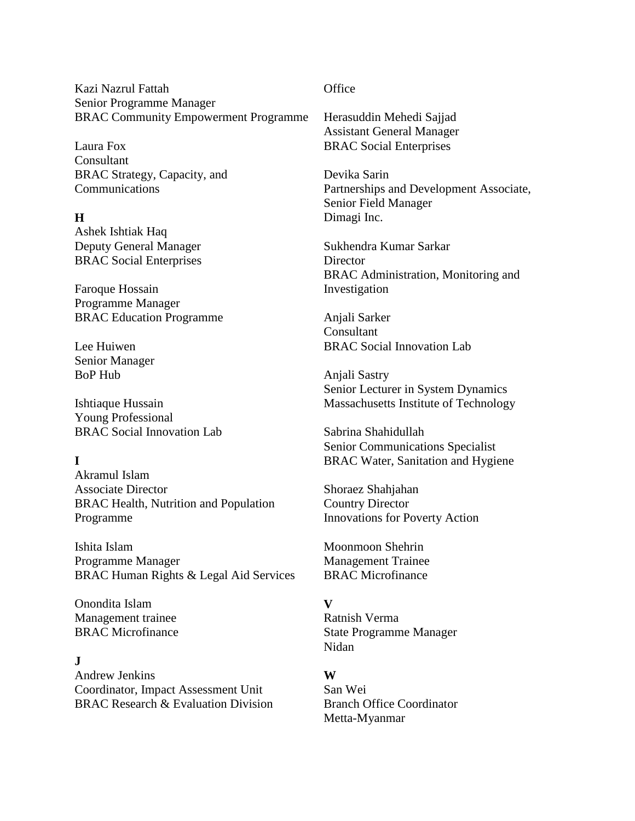Kazi Nazrul Fattah Senior Programme Manager BRAC Community Empowerment Programme

Laura Fox **Consultant** BRAC Strategy, Capacity, and Communications

### **H**

Ashek Ishtiak Haq Deputy General Manager BRAC Social Enterprises

Faroque Hossain Programme Manager BRAC Education Programme

Lee Huiwen Senior Manager BoP Hub

Ishtiaque Hussain Young Professional BRAC Social Innovation Lab

# **I**

Akramul Islam Associate Director BRAC Health, Nutrition and Population Programme

Ishita Islam Programme Manager BRAC Human Rights & Legal Aid Services

Onondita Islam Management trainee BRAC Microfinance

## **J**

Andrew Jenkins Coordinator, Impact Assessment Unit BRAC Research & Evaluation Division

#### **Office**

Herasuddin Mehedi Sajjad Assistant General Manager BRAC Social Enterprises

Devika Sarin Partnerships and Development Associate, Senior Field Manager Dimagi Inc.

Sukhendra Kumar Sarkar **Director** BRAC Administration, Monitoring and Investigation

Anjali Sarker Consultant BRAC Social Innovation Lab

Anjali Sastry Senior Lecturer in System Dynamics Massachusetts Institute of Technology

Sabrina Shahidullah Senior Communications Specialist BRAC Water, Sanitation and Hygiene

Shoraez Shahjahan Country Director Innovations for Poverty Action

Moonmoon Shehrin Management Trainee BRAC Microfinance

### **V**

Ratnish Verma State Programme Manager Nidan

### **W**

San Wei Branch Office Coordinator Metta-Myanmar